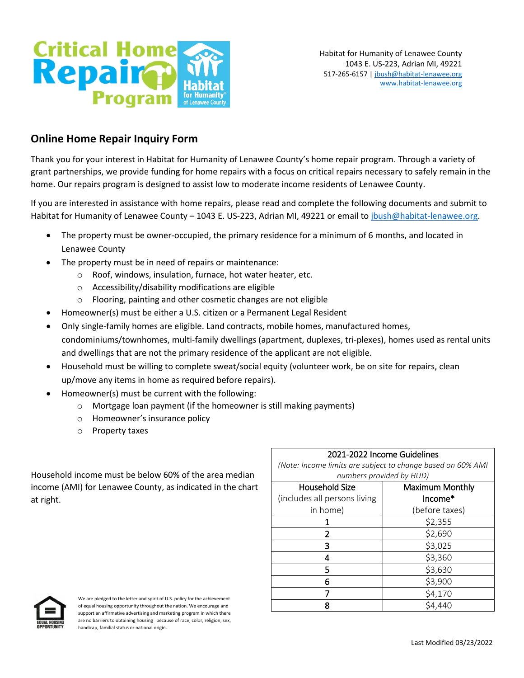

# **Online Home Repair Inquiry Form**

Thank you for your interest in Habitat for Humanity of Lenawee County's home repair program. Through a variety of grant partnerships, we provide funding for home repairs with a focus on critical repairs necessary to safely remain in the home. Our repairs program is designed to assist low to moderate income residents of Lenawee County.

If you are interested in assistance with home repairs, please read and complete the following documents and submit to Habitat for Humanity of Lenawee County - 1043 E. US-223, Adrian MI, 49221 or email to jbush@habitat-lenawee.org.

- The property must be owner-occupied, the primary residence for a minimum of 6 months, and located in Lenawee County
- The property must be in need of repairs or maintenance:
	- o Roof, windows, insulation, furnace, hot water heater, etc.
	- o Accessibility/disability modifications are eligible
	- o Flooring, painting and other cosmetic changes are not eligible
- Homeowner(s) must be either a U.S. citizen or a Permanent Legal Resident
- Only single-family homes are eligible. Land contracts, mobile homes, manufactured homes, condominiums/townhomes, multi-family dwellings (apartment, duplexes, tri-plexes), homes used as rental units and dwellings that are not the primary residence of the applicant are not eligible.
- Household must be willing to complete sweat/social equity (volunteer work, be on site for repairs, clean up/move any items in home as required before repairs).
- Homeowner(s) must be current with the following:
	- o Mortgage loan payment (if the homeowner is still making payments)
	- o Homeowner's insurance policy
	- o Property taxes

Household income must be below 60% of the area median income (AMI) for Lenawee County, as indicated in the chart at right.

| 2021-2022 Income Guidelines                                 |                 |  |  |  |  |
|-------------------------------------------------------------|-----------------|--|--|--|--|
| (Note: Income limits are subject to change based on 60% AMI |                 |  |  |  |  |
| numbers provided by HUD)                                    |                 |  |  |  |  |
| Household Size                                              | Maximum Monthly |  |  |  |  |
| (includes all persons living                                | Income*         |  |  |  |  |
| in home)                                                    | (before taxes)  |  |  |  |  |
|                                                             | \$2,355         |  |  |  |  |
| 2                                                           | \$2,690         |  |  |  |  |
| 3                                                           | \$3,025         |  |  |  |  |
| 4                                                           | \$3,360         |  |  |  |  |
| 5                                                           | \$3,630         |  |  |  |  |
| հ                                                           | \$3,900         |  |  |  |  |
|                                                             | \$4,170         |  |  |  |  |
| Ջ                                                           | \$4,440         |  |  |  |  |



We are pledged to the letter and spirit of U.S. policy for the achievement of equal housing opportunity throughout the nation. We encourage and support an affirmative advertising and marketing program in which there are no barriers to obtaining housing because of race, color, religion, sex, handicap, familial status or national origin.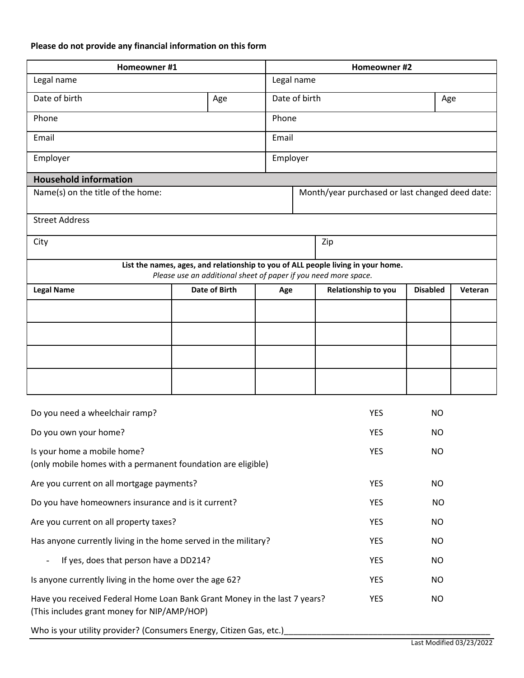# **Please do not provide any financial information on this form**

| Homeowner #1                                                                                                                                        |                      |     | Homeowner #2                                    |                     |                 |         |  |  |
|-----------------------------------------------------------------------------------------------------------------------------------------------------|----------------------|-----|-------------------------------------------------|---------------------|-----------------|---------|--|--|
| Legal name                                                                                                                                          |                      |     | Legal name                                      |                     |                 |         |  |  |
| Date of birth                                                                                                                                       | Age                  |     | Date of birth<br>Age                            |                     |                 |         |  |  |
| Phone<br>Phone                                                                                                                                      |                      |     |                                                 |                     |                 |         |  |  |
| Email                                                                                                                                               |                      |     | Email                                           |                     |                 |         |  |  |
| Employer<br>Employer                                                                                                                                |                      |     |                                                 |                     |                 |         |  |  |
| <b>Household information</b>                                                                                                                        |                      |     |                                                 |                     |                 |         |  |  |
| Name(s) on the title of the home:                                                                                                                   |                      |     | Month/year purchased or last changed deed date: |                     |                 |         |  |  |
| <b>Street Address</b>                                                                                                                               |                      |     |                                                 |                     |                 |         |  |  |
| City                                                                                                                                                |                      |     |                                                 | Zip                 |                 |         |  |  |
| List the names, ages, and relationship to you of ALL people living in your home.<br>Please use an additional sheet of paper if you need more space. |                      |     |                                                 |                     |                 |         |  |  |
| <b>Legal Name</b>                                                                                                                                   | <b>Date of Birth</b> | Age |                                                 | Relationship to you | <b>Disabled</b> | Veteran |  |  |
|                                                                                                                                                     |                      |     |                                                 |                     |                 |         |  |  |
|                                                                                                                                                     |                      |     |                                                 |                     |                 |         |  |  |
|                                                                                                                                                     |                      |     |                                                 |                     |                 |         |  |  |
|                                                                                                                                                     |                      |     |                                                 |                     |                 |         |  |  |
|                                                                                                                                                     |                      |     |                                                 |                     |                 |         |  |  |
| Do you need a wheelchair ramp?                                                                                                                      |                      |     |                                                 | <b>YES</b>          | <b>NO</b>       |         |  |  |
| Do you own your home?                                                                                                                               |                      |     | <b>YES</b>                                      | NO.                 |                 |         |  |  |
| Is your home a mobile home?<br>(only mobile homes with a permanent foundation are eligible)                                                         |                      |     |                                                 | <b>YES</b>          | <b>NO</b>       |         |  |  |
| Are you current on all mortgage payments?                                                                                                           |                      |     |                                                 | <b>YES</b>          | <b>NO</b>       |         |  |  |
| Do you have homeowners insurance and is it current?                                                                                                 |                      |     | <b>YES</b>                                      | <b>NO</b>           |                 |         |  |  |
| Are you current on all property taxes?                                                                                                              |                      |     |                                                 | <b>YES</b>          | <b>NO</b>       |         |  |  |
| Has anyone currently living in the home served in the military?                                                                                     |                      |     | <b>YES</b>                                      | <b>NO</b>           |                 |         |  |  |
| If yes, does that person have a DD214?<br>$\overline{\phantom{a}}$                                                                                  |                      |     | <b>YES</b>                                      | <b>NO</b>           |                 |         |  |  |
| Is anyone currently living in the home over the age 62?                                                                                             |                      |     | <b>YES</b>                                      | <b>NO</b>           |                 |         |  |  |
| Have you received Federal Home Loan Bank Grant Money in the last 7 years?<br>(This includes grant money for NIP/AMP/HOP)                            |                      |     | <b>YES</b>                                      | <b>NO</b>           |                 |         |  |  |
| Who is your utility provider? (Consumers Energy, Citizen Gas, etc.)                                                                                 |                      |     |                                                 |                     |                 |         |  |  |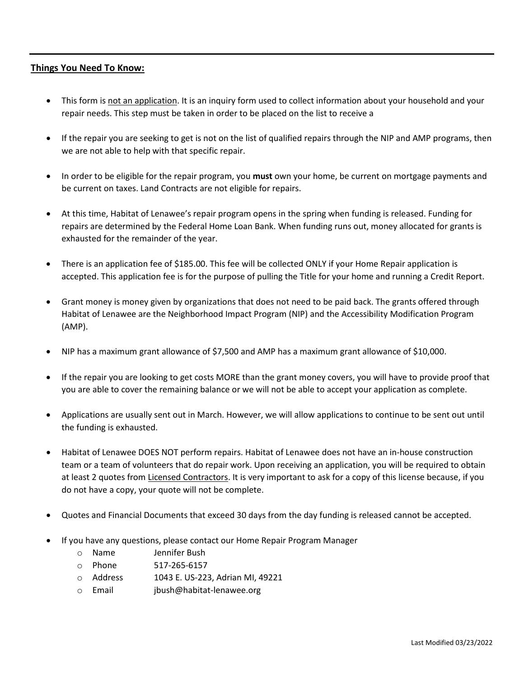# **Things You Need To Know:**

- This form is not an application. It is an inquiry form used to collect information about your household and your repair needs. This step must be taken in order to be placed on the list to receive a
- If the repair you are seeking to get is not on the list of qualified repairs through the NIP and AMP programs, then we are not able to help with that specific repair.
- In order to be eligible for the repair program, you **must** own your home, be current on mortgage payments and be current on taxes. Land Contracts are not eligible for repairs.
- At this time, Habitat of Lenawee's repair program opens in the spring when funding is released. Funding for repairs are determined by the Federal Home Loan Bank. When funding runs out, money allocated for grants is exhausted for the remainder of the year.
- There is an application fee of \$185.00. This fee will be collected ONLY if your Home Repair application is accepted. This application fee is for the purpose of pulling the Title for your home and running a Credit Report.
- Grant money is money given by organizations that does not need to be paid back. The grants offered through Habitat of Lenawee are the Neighborhood Impact Program (NIP) and the Accessibility Modification Program (AMP).
- NIP has a maximum grant allowance of \$7,500 and AMP has a maximum grant allowance of \$10,000.
- If the repair you are looking to get costs MORE than the grant money covers, you will have to provide proof that you are able to cover the remaining balance or we will not be able to accept your application as complete.
- Applications are usually sent out in March. However, we will allow applications to continue to be sent out until the funding is exhausted.
- Habitat of Lenawee DOES NOT perform repairs. Habitat of Lenawee does not have an in-house construction team or a team of volunteers that do repair work. Upon receiving an application, you will be required to obtain at least 2 quotes from Licensed Contractors. It is very important to ask for a copy of this license because, if you do not have a copy, your quote will not be complete.
- Quotes and Financial Documents that exceed 30 days from the day funding is released cannot be accepted.
- If you have any questions, please contact our Home Repair Program Manager
	- o Name Jennifer Bush
	- o Phone 517-265-6157
	- o Address 1043 E. US-223, Adrian MI, 49221
	- o Email jbush@habitat-lenawee.org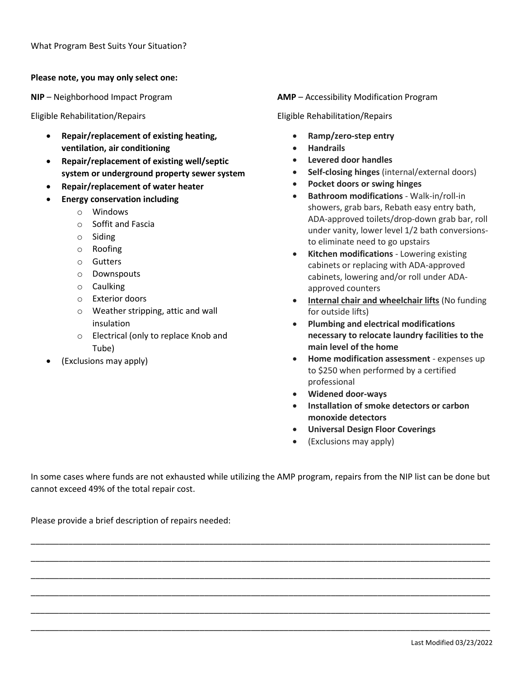### **Please note, you may only select one:**

**NIP** – Neighborhood Impact Program

Eligible Rehabilitation/Repairs

- **Repair/replacement of existing heating, ventilation, air conditioning**
- **Repair/replacement of existing well/septic system or underground property sewer system**
- **Repair/replacement of water heater**
- **Energy conservation including**
	- o Windows
	- o Soffit and Fascia
	- o Siding
	- o Roofing
	- o Gutters
	- o Downspouts
	- o Caulking
	- o Exterior doors
	- o Weather stripping, attic and wall insulation
	- o Electrical (only to replace Knob and Tube)
- (Exclusions may apply)

**AMP** – Accessibility Modification Program

Eligible Rehabilitation/Repairs

- **Ramp/zero-step entry**
- **Handrails**
- **Levered door handles**
- **Self-closing hinges** (internal/external doors)
- **Pocket doors or swing hinges**
- **Bathroom modifications** Walk-in/roll-in showers, grab bars, Rebath easy entry bath, ADA-approved toilets/drop-down grab bar, roll under vanity, lower level 1/2 bath conversionsto eliminate need to go upstairs
- **Kitchen modifications** Lowering existing cabinets or replacing with ADA-approved cabinets, lowering and/or roll under ADAapproved counters
- **Internal chair and wheelchair lifts** (No funding for outside lifts)
- **Plumbing and electrical modifications necessary to relocate laundry facilities to the main level of the home**
- **Home modification assessment** expenses up to \$250 when performed by a certified professional
- **Widened door-ways**
- **Installation of smoke detectors or carbon monoxide detectors**
- **Universal Design Floor Coverings**
- (Exclusions may apply)

In some cases where funds are not exhausted while utilizing the AMP program, repairs from the NIP list can be done but cannot exceed 49% of the total repair cost.

\_\_\_\_\_\_\_\_\_\_\_\_\_\_\_\_\_\_\_\_\_\_\_\_\_\_\_\_\_\_\_\_\_\_\_\_\_\_\_\_\_\_\_\_\_\_\_\_\_\_\_\_\_\_\_\_\_\_\_\_\_\_\_\_\_\_\_\_\_\_\_\_\_\_\_\_\_\_\_\_\_\_\_\_\_\_\_\_\_\_\_\_\_\_\_\_\_\_

\_\_\_\_\_\_\_\_\_\_\_\_\_\_\_\_\_\_\_\_\_\_\_\_\_\_\_\_\_\_\_\_\_\_\_\_\_\_\_\_\_\_\_\_\_\_\_\_\_\_\_\_\_\_\_\_\_\_\_\_\_\_\_\_\_\_\_\_\_\_\_\_\_\_\_\_\_\_\_\_\_\_\_\_\_\_\_\_\_\_\_\_\_\_\_\_\_\_

\_\_\_\_\_\_\_\_\_\_\_\_\_\_\_\_\_\_\_\_\_\_\_\_\_\_\_\_\_\_\_\_\_\_\_\_\_\_\_\_\_\_\_\_\_\_\_\_\_\_\_\_\_\_\_\_\_\_\_\_\_\_\_\_\_\_\_\_\_\_\_\_\_\_\_\_\_\_\_\_\_\_\_\_\_\_\_\_\_\_\_\_\_\_\_\_\_\_

\_\_\_\_\_\_\_\_\_\_\_\_\_\_\_\_\_\_\_\_\_\_\_\_\_\_\_\_\_\_\_\_\_\_\_\_\_\_\_\_\_\_\_\_\_\_\_\_\_\_\_\_\_\_\_\_\_\_\_\_\_\_\_\_\_\_\_\_\_\_\_\_\_\_\_\_\_\_\_\_\_\_\_\_\_\_\_\_\_\_\_\_\_\_\_\_\_\_

\_\_\_\_\_\_\_\_\_\_\_\_\_\_\_\_\_\_\_\_\_\_\_\_\_\_\_\_\_\_\_\_\_\_\_\_\_\_\_\_\_\_\_\_\_\_\_\_\_\_\_\_\_\_\_\_\_\_\_\_\_\_\_\_\_\_\_\_\_\_\_\_\_\_\_\_\_\_\_\_\_\_\_\_\_\_\_\_\_\_\_\_\_\_\_\_\_\_

\_\_\_\_\_\_\_\_\_\_\_\_\_\_\_\_\_\_\_\_\_\_\_\_\_\_\_\_\_\_\_\_\_\_\_\_\_\_\_\_\_\_\_\_\_\_\_\_\_\_\_\_\_\_\_\_\_\_\_\_\_\_\_\_\_\_\_\_\_\_\_\_\_\_\_\_\_\_\_\_\_\_\_\_\_\_\_\_\_\_\_\_\_\_\_\_\_\_

Please provide a brief description of repairs needed: